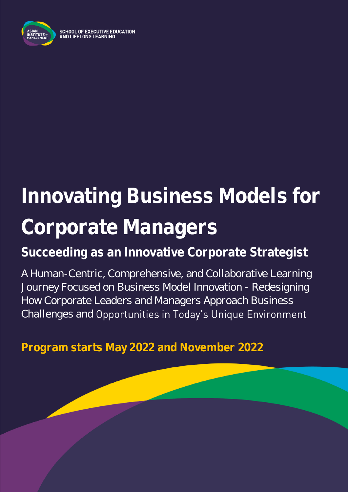

# **Innovating Business Models for Corporate Managers**

**Succeeding as an Innovative Corporate Strategist**

A Human-Centric, Comprehensive, and Collaborative Learning Journey Focused on Business Model Innovation - Redesigning How Corporate Leaders and Managers Approach Business Challenges and Opportunities in Today's Unique Environment

**Program starts May 2022 and November 2022**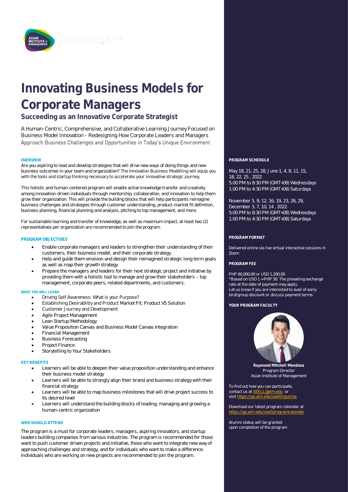

## **Innovating Business Models for Corporate Managers**

**Succeeding as an Innovative Corporate Strategist**

A Human-Centric, Comprehensive, and Collaborative Learning Journey Focused on Business Model Innovation - Redesigning How Corporate Leaders and Managers Approach Business Challenges and Opportunities in Today's Unique Environment

Are you aspiring to lead and develop strategies that will drive new ways of doing things and new business outcomes in your team and organization? The Innovation Business Modelling will equip you with the tools and startup thinking necessary to accelerate your innovative strategic journey.

This holistic and human-centered program will enable active knowledge transfer and creativity among innovation-driven individuals through mentorship, collaboration, and innovation to help them grow their organization. This will provide the building blocks that will help participants reimagine business challenges and strategies through customer understanding, product-market fit definition, business planning, financial planning and analysis, pitching to top management, and more.

For sustainable learning and transfer of knowledge, as well as maximum impact, at least two (2) representatives per organization are recommended to join the program.

#### **PROGRAM OBJECTIVES**

- Enable corporate managers and leaders to strengthen their understanding of their customers, their business model, and their corporate strategy
- Help and guide them envision and design their reimagined strategic long term goals as well as map their growth strategy
- Prepare the managers and leaders for their next strategic project and initiative by providing them with a holistic tool to manage and grow their stakeholders - top management, corporate peers, related departments, and customers.

#### **WHAT YOU WILL LEARN**

- Driving Self Awareness: What is your Purpose?
- Establishing Desirablitiy and Product Market Fit: Product VS Solution
- Customer Journey and Development
- Agile Project Management
- Lean Startup Methodology
- Value Proposition Canvas and Business Model Canvas Integration
- Financial Management
- Business Forecasting
- Project Finance
- Storytelling to Your Stakeholders

#### **KEY BENEFITS**

- Learners will be able to deepen their value proposition understanding and enhance their business model strategy
- Learners will be able to strongly align their brand and business strategy with their financial strategy
- Learners will be able to map business milestones that will drive project success to its desired level
- Learners will understand the building blocks of leading, managing and growing a human-centric organization

#### **WHO SHOULD ATTEND**

The program is a must for corporate leaders, managers, aspiring innovators, and startup leaders building companies from various industries. The program is recommended for those want to push customer driven projects and initiative, those who want to integrate new way of approaching challenges and strategy, and for individuals who want to make a difference. Individuals who are working on new projects are recommended to join the program.

**OVERVIEW PROGRAM SCHEDULE**

May 18, 21, 25, 28, June 1, 4, 8, 11, 15, 18, 22, 25 , 2022 5:00 PM to 8:30 PM (GMT+08) Wednesdays 1:00 PM to 4:30 PM (GMT+08) Saturdays

November 5, 9, 12, 16, 19, 23, 26, 29, December 3, 7, 10, 14 , 2022 5:00 PM to 8:30 PM (GMT+08) Wednesdays 1:00 PM to 4:30 PM (GMT+08) Saturdays

#### **PROGRAM FORMAT**

Delivered online via live virtual interactive sessions in Zoom

#### **PROGRAM FEE**

PHP 60,000.00 or USD 1,200.00 \*Based on USD 1 = PHP 50. The prevailing exchange rate at the date of payment may apply. Let us know if you are interested to avail of early bird/group discount or discuss payment terms.

**YOUR PROGRAM FACULTY**



**Raymond Mitchell Mendoza** Program Director Asian Institute of Management

To find out how you can participate, contact us at **SEELL@aim.edu** or visit https://go.aim.e

Download our latest program calendar at <https://go.aim.edu/seellprogramcalendar>

Alumni status will be granted upon completion of the program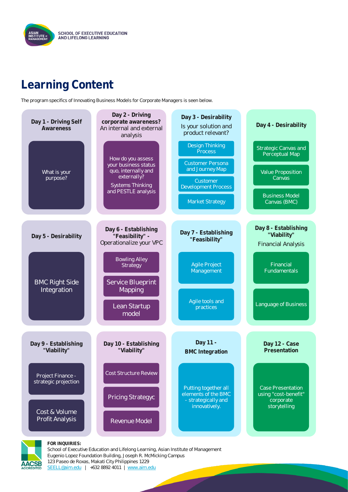

### **Learning Content**

The program specifics of Innovating Business Models for Corporate Managers is seen below.





**FOR INQUIRIES:**

School of Executive Education and Lifelong Learning, Asian Institute of Management Eugenio Lopez Foundation Building, Joseph R. McMicking Campus 123 Paseo de Roxas, Makati City Philippines 1229 [SEELL@aim.edu](mailto:SEELL@aim.edu) | +632 8892 4011 | [www.aim.edu](http://www.aim.edu/)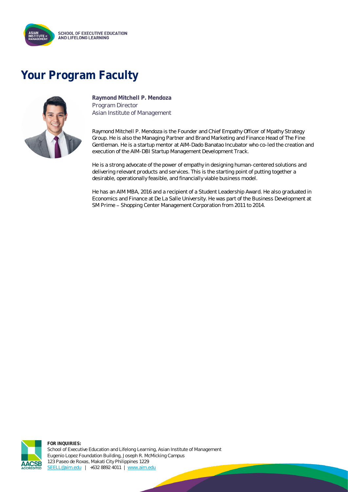

### **Your Program Faculty**



**Raymond Mitchell P. Mendoza** Program Director Asian Institute of Management

Raymond Mitchell P. Mendoza is the Founder and Chief Empathy Officer of Mpathy Strategy Group. He is also the Managing Partner and Brand Marketing and Finance Head of The Fine Gentleman. He is a startup mentor at AIM-Dado Banatao Incubator who co-led the creation and execution of the AIM-DBI Startup Management Development Track.

He is a strong advocate of the power of empathy in designing human-centered solutions and delivering relevant products and services. This is the starting point of putting together a desirable, operationally feasible, and financially viable business model.

He has an AIM MBA, 2016 and a recipient of a Student Leadership Award. He also graduated in Economics and Finance at De La Salle University. He was part of the Business Development at SM Prime - Shopping Center Management Corporation from 2011 to 2014.



**FOR INQUIRIES:** School of Executive Education and Lifelong Learning, Asian Institute of Management Eugenio Lopez Foundation Building, Joseph R. McMicking Campus 123 Paseo de Roxas, Makati City Philippines 1229 [SEELL@aim.edu](mailto:SEELL@aim.edu) | +632 8892 4011 | [www.aim.edu](http://www.aim.edu/)